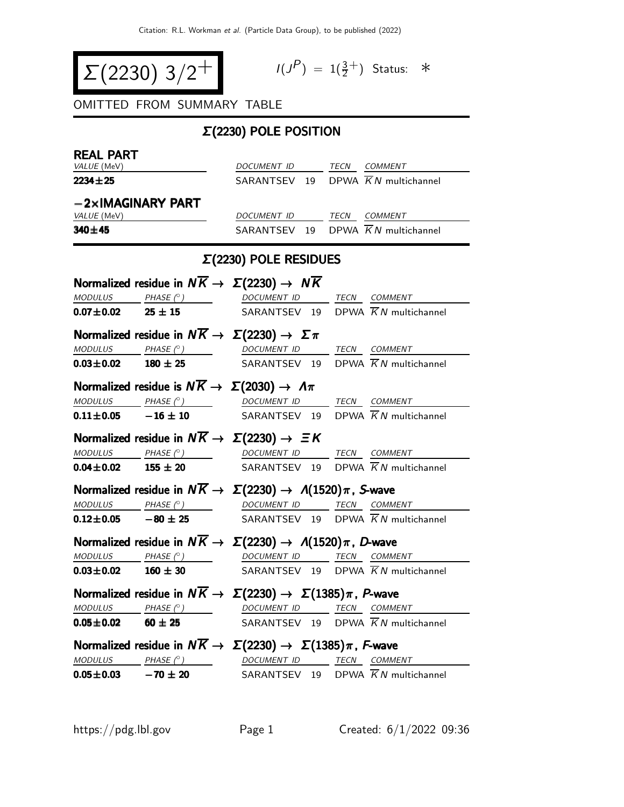$$
\Sigma(2230) 3/2^+
$$

$$
I(J^P) = 1(\frac{3}{2}^+) \quad \text{Status:} \quad *
$$

OMITTED FROM SUMMARY TABLE

## Σ(2230) POLE POSITION

| <b>REAL PART</b>                                                                     |                                                                                                                                                                                                       |                                                |  |                                                |  |  |  |  |  |
|--------------------------------------------------------------------------------------|-------------------------------------------------------------------------------------------------------------------------------------------------------------------------------------------------------|------------------------------------------------|--|------------------------------------------------|--|--|--|--|--|
| VALUE (MeV)                                                                          |                                                                                                                                                                                                       | DOCUMENT ID TECN COMMENT                       |  |                                                |  |  |  |  |  |
| $2234 \pm 25$                                                                        |                                                                                                                                                                                                       | SARANTSEV 19 DPWA $\overline{K}N$ multichannel |  |                                                |  |  |  |  |  |
|                                                                                      | $-2\times$ IMAGINARY PART                                                                                                                                                                             |                                                |  |                                                |  |  |  |  |  |
| VALUE (MeV)                                                                          |                                                                                                                                                                                                       | DOCUMENT ID TECN COMMENT                       |  |                                                |  |  |  |  |  |
| 340±45                                                                               |                                                                                                                                                                                                       | SARANTSEV 19 DPWA $\overline{K}N$ multichannel |  |                                                |  |  |  |  |  |
| $\Sigma(2230)$ POLE RESIDUES                                                         |                                                                                                                                                                                                       |                                                |  |                                                |  |  |  |  |  |
|                                                                                      | Normalized residue in $N\overline{K} \rightarrow \Sigma(2230) \rightarrow N\overline{K}$                                                                                                              |                                                |  |                                                |  |  |  |  |  |
|                                                                                      | $\begin{array}{ccccccccc}\textit{MODULUS} & \hspace{0.1cm} & \textit{PHASE}& \textcircled{?} & \hspace{0.1cm} & \textit{DOCUMENT ID} & \hspace{0.1cm} & \textit{TECN} & \textit{COMMENT} \end{array}$ |                                                |  |                                                |  |  |  |  |  |
|                                                                                      | $0.07 \pm 0.02$ 25 $\pm$ 15                                                                                                                                                                           | SARANTSEV 19 DPWA $\overline{K}N$ multichannel |  |                                                |  |  |  |  |  |
|                                                                                      | Normalized residue in $N\overline{K} \rightarrow \Sigma(2230) \rightarrow \Sigma \pi$                                                                                                                 |                                                |  |                                                |  |  |  |  |  |
|                                                                                      | $\underline{\textit{MODULUS}} \qquad \underline{\textit{PHASE (}^{\circ}) \qquad \qquad \underline{\textit{DOCUMENT ID}} \qquad \underline{\textit{TECN}} \quad \underline{\textit{COMMENT}} }$       |                                                |  |                                                |  |  |  |  |  |
|                                                                                      | <b>0.03±0.02</b> 180 ± 25 SARANTSEV 19 DPWA $\overline{K}N$ multichannel                                                                                                                              |                                                |  |                                                |  |  |  |  |  |
|                                                                                      | Normalized residue is $N\overline{K} \rightarrow \Sigma(2030) \rightarrow \Lambda \pi$                                                                                                                |                                                |  |                                                |  |  |  |  |  |
|                                                                                      | $\underline{\textit{MODULUS}} \qquad \qquad \underline{\textit{PHASE (^\circ)}} \qquad \qquad \underline{\textit{DOCUMENT ID}} \qquad \underline{\textit{TECN}} \quad \underline{\textit{COMMENT}}$   |                                                |  |                                                |  |  |  |  |  |
|                                                                                      | <b>0.11±0.05</b> -16 ± 10 SARANTSEV 19 DPWA $\overline{K}N$ multichannel                                                                                                                              |                                                |  |                                                |  |  |  |  |  |
|                                                                                      | Normalized residue in $N\overline{K} \rightarrow \Sigma(2230) \rightarrow \Xi K$                                                                                                                      |                                                |  |                                                |  |  |  |  |  |
|                                                                                      |                                                                                                                                                                                                       |                                                |  | MODULUS PHASE (° ) DOCUMENT ID TECN COMMENT    |  |  |  |  |  |
| $0.04 \pm 0.02$ 155 $\pm$ 20                                                         |                                                                                                                                                                                                       | SARANTSEV 19 DPWA $\overline{K}N$ multichannel |  |                                                |  |  |  |  |  |
| Normalized residue in $N\overline{K} \to \Sigma(2230) \to \Lambda(1520)\pi$ , S-wave |                                                                                                                                                                                                       |                                                |  |                                                |  |  |  |  |  |
|                                                                                      | $\begin{array}{ccc}\textit{MODULUS} & \quad \textit{PHASE (}^{\circ}\textit{)} & \quad \textit{DOCUMENT ID} & \quad \textit{TECN} & \textit{COMMENT} \end{array}$                                     |                                                |  |                                                |  |  |  |  |  |
|                                                                                      | <b>0.12±0.05</b> -80 ± 25 SARANTSEV 19 DPWA $\overline{K}N$ multichannel                                                                                                                              |                                                |  |                                                |  |  |  |  |  |
|                                                                                      | Normalized residue in $N\overline{K} \to \Sigma(2230) \to \Lambda(1520)\pi$ , D-wave                                                                                                                  |                                                |  |                                                |  |  |  |  |  |
|                                                                                      | <u>MODULUS PHASE <math>\binom{0}{1}</math> DOCUMENT ID TECN COMMENT</u>                                                                                                                               |                                                |  |                                                |  |  |  |  |  |
| $0.03 \pm 0.02$ 160 $\pm$ 30                                                         |                                                                                                                                                                                                       | SARANTSEV 19 DPWA $\overline{K}N$ multichannel |  |                                                |  |  |  |  |  |
|                                                                                      | Normalized residue in $N\overline{K} \to \Sigma(2230) \to \Sigma(1385)\pi$ , P-wave                                                                                                                   |                                                |  |                                                |  |  |  |  |  |
| <b>MODULUS</b>                                                                       | PHASE $(^\circ)$                                                                                                                                                                                      | DOCUMENT ID                                    |  | IECN COMMENT                                   |  |  |  |  |  |
| $0.05 \pm 0.02$                                                                      | $60 \pm 25$                                                                                                                                                                                           |                                                |  | SARANTSEV 19 DPWA $\overline{K}N$ multichannel |  |  |  |  |  |
| Normalized residue in $N\overline{K} \to \Sigma(2230) \to \Sigma(1385)\pi$ , F-wave  |                                                                                                                                                                                                       |                                                |  |                                                |  |  |  |  |  |
|                                                                                      | $\underline{\textit{MODULUS}} \qquad \underline{\textit{PHASE (}^{\circ}) \qquad \qquad \textit{DOCUMENT ID}} \qquad \underline{\textit{TECN}} \quad \underline{\textit{COMMENT}}$                    |                                                |  |                                                |  |  |  |  |  |
| $0.05 \pm 0.03$ $-70 \pm 20$                                                         |                                                                                                                                                                                                       |                                                |  | SARANTSEV 19 DPWA $\overline{K}N$ multichannel |  |  |  |  |  |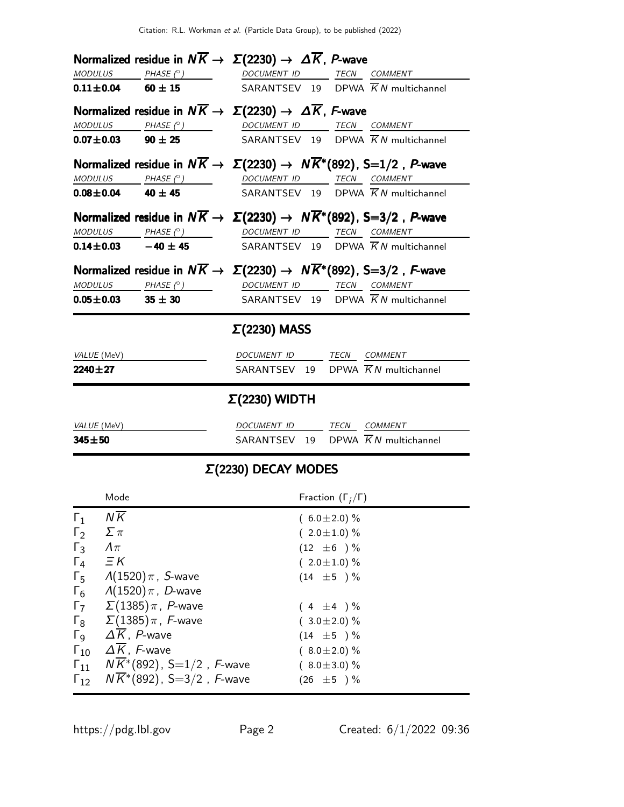|                                                                                   | Normalized residue in $N\overline{K} \to \Sigma(2230) \to \Delta \overline{K}$ , P-wave                                                                                                                                                                                                                                                                                                                                                                                                                                                                              |                                                  |                                      |                              |                                                |  |
|-----------------------------------------------------------------------------------|----------------------------------------------------------------------------------------------------------------------------------------------------------------------------------------------------------------------------------------------------------------------------------------------------------------------------------------------------------------------------------------------------------------------------------------------------------------------------------------------------------------------------------------------------------------------|--------------------------------------------------|--------------------------------------|------------------------------|------------------------------------------------|--|
|                                                                                   | $MODULUS$ PHASE $(°)$ DOCUMENT ID TECN COMMENT<br><b>0.11±0.04</b> 60 ± 15 SARANTSEV 19 DPWA $\overline{K}N$ multichannel                                                                                                                                                                                                                                                                                                                                                                                                                                            |                                                  |                                      |                              |                                                |  |
|                                                                                   | Normalized residue in $N\overline{K} \to \Sigma(2230) \to \Delta \overline{K}$ , F-wave<br>$\begin{array}{ccccccccc}\textit{MODULUS} & \textit{PHASE (}^{\circ}) & \textit{O} & \textit{DOCUMENT ID} & \textit{TECN} & \textit{COMMENT} & \textit{OMMENT} & \textit{OMMENT} & \textit{OMMENT} & \textit{OMMENT} & \textit{OMMENT} & \textit{OMMENT} & \textit{OMMENT} & \textit{OMMENT} & \textit{OMMENT} & \textit{OMMENT} & \textit{OMMENT} & \textit{OMMENT} & \textit{OMMENT} & \textit{OMMENT} & \textit{OMMENT} & \textit{OMMENT} & \textit{OMMENT} & \textit$ |                                                  |                                      |                              |                                                |  |
|                                                                                   | $0.07 \pm 0.03$ 90 $\pm 25$                                                                                                                                                                                                                                                                                                                                                                                                                                                                                                                                          |                                                  |                                      |                              | SARANTSEV 19 DPWA $\overline{K}N$ multichannel |  |
|                                                                                   | Normalized residue in $N\overline{K} \to \Sigma(2230) \to N\overline{K}^*(892)$ , S=1/2, P-wave<br>$\begin{array}{ccc}\textit{MODULUS} & \quad \textit{PHASE (}^{\circ}\textit{)} & \quad \textit{DOCUMENT ID} & \quad \textit{TECN} & \textit{COMMENT}\textit{I} & \quad \textit{A.}\end{array}$                                                                                                                                                                                                                                                                    |                                                  |                                      |                              |                                                |  |
|                                                                                   | <b>0.08±0.04</b> 40 ± 45 SARANTSEV 19 DPWA $\overline{K}N$ multichannel                                                                                                                                                                                                                                                                                                                                                                                                                                                                                              |                                                  |                                      |                              |                                                |  |
|                                                                                   | Normalized residue in $N\overline{K} \to \Sigma(2230) \to N\overline{K}^*(892)$ , S=3/2, P-wave<br>MODULUS PHASE (°) DOCUMENT ID TECN COMMENT                                                                                                                                                                                                                                                                                                                                                                                                                        |                                                  |                                      |                              |                                                |  |
|                                                                                   | <b>0.14±0.03</b> -40 ±45 SARANTSEV 19 DPWA $\overline{K}N$ multichannel                                                                                                                                                                                                                                                                                                                                                                                                                                                                                              |                                                  |                                      |                              |                                                |  |
|                                                                                   | Normalized residue in $N\overline{K} \to \Sigma(2230) \to N\overline{K}^*(892)$ , S=3/2, F-wave                                                                                                                                                                                                                                                                                                                                                                                                                                                                      |                                                  |                                      |                              |                                                |  |
|                                                                                   | $\begin{array}{ccccccccc}\textit{MODULUS} & \textit{PHASE}& @ & \textit{DOCUMENT} & \textit{ID} & \textit{TECN} & \textit{COMMENT} & \textit{ONMENT} & \textit{ONMENT} & \textit{ONMENT} & \textit{ONMENT} & \textit{ONMENT} & \textit{ONMENT} & \textit{ONMENT} & \textit{ONMENT} & \textit{ONMENT} & \textit{ONMENT} & \textit{ONMENT} & \textit{ONMENT} & \textit{ONMENT} & \textit{ONMENT} & \textit{ONMENT} & \textit{ONMENT} & \textit{ONMENT} & \textit{ONMENT} &$<br>$0.05 \pm 0.03$ 35 $\pm$ 30                                                             |                                                  |                                      |                              | SARANTSEV 19 DPWA $\overline{K}N$ multichannel |  |
| $2240 \pm 27$<br><i>VALUE</i> (MeV)                                               |                                                                                                                                                                                                                                                                                                                                                                                                                                                                                                                                                                      | $\Sigma(2230)$ WIDTH<br>DOCUMENT ID TECN COMMENT |                                      |                              | SARANTSEV 19 DPWA $\overline{K}N$ multichannel |  |
| $345 + 50$                                                                        |                                                                                                                                                                                                                                                                                                                                                                                                                                                                                                                                                                      |                                                  |                                      |                              | SARANTSEV 19 DPWA $\overline{K}N$ multichannel |  |
|                                                                                   |                                                                                                                                                                                                                                                                                                                                                                                                                                                                                                                                                                      | $\Sigma(2230)$ DECAY MODES                       |                                      |                              |                                                |  |
|                                                                                   | Mode                                                                                                                                                                                                                                                                                                                                                                                                                                                                                                                                                                 |                                                  |                                      | Fraction $(\Gamma_i/\Gamma)$ |                                                |  |
| $\Gamma_1$                                                                        | ΝK                                                                                                                                                                                                                                                                                                                                                                                                                                                                                                                                                                   |                                                  |                                      | $(6.0 \pm 2.0)\%$            |                                                |  |
| $\Gamma_2$                                                                        | $\Sigma \pi$                                                                                                                                                                                                                                                                                                                                                                                                                                                                                                                                                         |                                                  |                                      | $(2.0 \pm 1.0)$ %            |                                                |  |
| $\Gamma_3$                                                                        | $\varLambda\pi$                                                                                                                                                                                                                                                                                                                                                                                                                                                                                                                                                      |                                                  |                                      | $(12 \pm 6) \%$              |                                                |  |
| $\equiv$ $\kappa$<br>$\Gamma_4$<br>$\Gamma_5$ $\Lambda(1520)\pi$ , <i>S</i> -wave |                                                                                                                                                                                                                                                                                                                                                                                                                                                                                                                                                                      |                                                  | $(2.0 \pm 1.0)$ %<br>$(14 \pm 5) \%$ |                              |                                                |  |
|                                                                                   | $\Gamma_6$ $\Lambda(1520)\pi$ , D-wave                                                                                                                                                                                                                                                                                                                                                                                                                                                                                                                               |                                                  |                                      |                              |                                                |  |
|                                                                                   | $\Gamma$ <sub>7</sub> $\Sigma$ (1385) $\pi$ , <i>P</i> -wave                                                                                                                                                                                                                                                                                                                                                                                                                                                                                                         |                                                  |                                      | $(4 \pm 4) \%$               |                                                |  |
|                                                                                   | $\Gamma_8$ $\Sigma(1385)\pi$ , <i>F</i> -wave                                                                                                                                                                                                                                                                                                                                                                                                                                                                                                                        |                                                  |                                      | $(3.0 \pm 2.0)$ %            |                                                |  |
|                                                                                   | $\Gamma$ <sub>9</sub> $\Delta K$ , <i>P</i> -wave                                                                                                                                                                                                                                                                                                                                                                                                                                                                                                                    |                                                  |                                      | $(14 \pm 5) \%$              |                                                |  |
|                                                                                   | $\Gamma_{10}$ $\Delta \overline{K}$ , <i>F</i> -wave                                                                                                                                                                                                                                                                                                                                                                                                                                                                                                                 |                                                  |                                      | $(8.0 \pm 2.0)$ %            |                                                |  |
| $\mathsf{\Gamma}_{11}$                                                            | $N\overline{K}^*(892)$ , S $=$ 1/2 , $F$ -wave                                                                                                                                                                                                                                                                                                                                                                                                                                                                                                                       |                                                  |                                      | $(8.0 \pm 3.0)$ %            |                                                |  |
| $\Gamma_{12}$                                                                     | $N\overline{K}$ *(892), S=3/2, F-wave                                                                                                                                                                                                                                                                                                                                                                                                                                                                                                                                |                                                  |                                      | $(26 \pm 5) \%$              |                                                |  |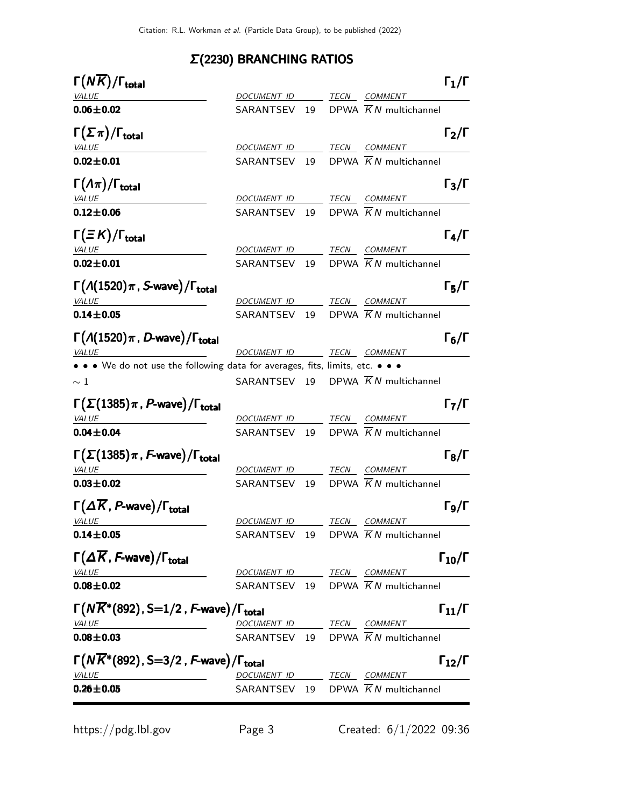## Σ(2230) BRANCHING RATIOS

| $\Gamma(N\overline{K})/\Gamma_{\rm total}$                                                 |                          |  |                                                | $\Gamma_1/\Gamma$    |
|--------------------------------------------------------------------------------------------|--------------------------|--|------------------------------------------------|----------------------|
| <b>VALUE</b>                                                                               |                          |  | DOCUMENT ID TECN COMMENT                       |                      |
| $0.06 \pm 0.02$                                                                            |                          |  | SARANTSEV 19 DPWA $\overline{K}N$ multichannel |                      |
| $\Gamma(\Sigma \pi)/\Gamma_{\rm total}$                                                    |                          |  |                                                | $\Gamma_2/\Gamma$    |
| <u>VALUE</u>                                                                               | DOCUMENT ID TECN COMMENT |  |                                                |                      |
| $0.02 \pm 0.01$                                                                            |                          |  | SARANTSEV 19 DPWA $\overline{K}N$ multichannel |                      |
| $\Gamma(\Lambda \pi)/\Gamma_{\rm total}$<br><b>VALUE</b>                                   | DOCUMENT ID TECN COMMENT |  |                                                | $\Gamma_3/\Gamma$    |
| $0.12 \pm 0.06$                                                                            |                          |  | SARANTSEV 19 DPWA $\overline{K}N$ multichannel |                      |
| $\Gamma(\equiv K)/\Gamma_{\rm total}$                                                      |                          |  |                                                | $\Gamma_4/\Gamma$    |
| <b>VALUE</b><br>$0.02 \pm 0.01$                                                            | DOCUMENT ID TECN COMMENT |  | SARANTSEV 19 DPWA $\overline{K}N$ multichannel |                      |
|                                                                                            |                          |  |                                                |                      |
| $\Gamma(A(1520)\pi, S$ -wave)/ $\Gamma_{\text{total}}$<br><b>VALUE</b>                     |                          |  | DOCUMENT ID TECN COMMENT                       | $\Gamma_5/\Gamma$    |
| $0.14 \pm 0.05$                                                                            |                          |  | SARANTSEV 19 DPWA $\overline{K}N$ multichannel |                      |
| $\Gamma(A(1520)\pi, D$ -wave)/ $\Gamma_{\text{total}}$                                     |                          |  |                                                | $\Gamma_6/\Gamma$    |
| <b>VALUE</b>                                                                               | DOCUMENT ID TECN COMMENT |  |                                                |                      |
| • • • We do not use the following data for averages, fits, limits, etc. • • •              |                          |  |                                                |                      |
| $\sim 1\,$                                                                                 |                          |  | SARANTSEV 19 DPWA $\overline{K}N$ multichannel |                      |
| $\Gamma(\Sigma(1385)\pi, P$ -wave)/ $\Gamma_{\text{total}}$<br><b>VALUE</b>                | DOCUMENT ID TECN COMMENT |  |                                                | $\Gamma_7/\Gamma$    |
| $0.04 \pm 0.04$                                                                            |                          |  | SARANTSEV 19 DPWA $\overline{K}N$ multichannel |                      |
| $\Gamma(\Sigma(1385)\pi, F$ -wave)/ $\Gamma_{\rm total}$                                   |                          |  |                                                | $\Gamma_8/\Gamma$    |
| <b>VALUE</b>                                                                               | DOCUMENT ID TECN COMMENT |  |                                                |                      |
| $0.03 \pm 0.02$                                                                            |                          |  | SARANTSEV 19 DPWA $\overline{K}N$ multichannel |                      |
| $\Gamma(\Delta \overline{K}, P$ -wave)/ $\Gamma_{total}$                                   | DOCUMENT ID TECN COMMENT |  |                                                | $\Gamma_{9}/\Gamma$  |
| <u>VALUE</u><br>$0.14 \pm 0.05$                                                            |                          |  | SARANTSEV 19 DPWA $\overline{K}N$ multichannel |                      |
| $\Gamma(\Delta \overline{K}, F$ -wave)/ $\Gamma_{\text{total}}$                            |                          |  |                                                | $\Gamma_{10}/\Gamma$ |
| <b>VALUE</b>                                                                               | DOCUMENT ID TECN COMMENT |  |                                                |                      |
| $0.08 + 0.02$                                                                              |                          |  | SARANTSEV 19 DPWA $\overline{K}N$ multichannel |                      |
| $\Gamma(N\overline{K}^*(892), S=1/2, F$ -wave)/ $\Gamma_{\text{total}}$                    |                          |  |                                                | $\Gamma_{11}/\Gamma$ |
| <b>VALUE</b>                                                                               | DOCUMENT ID TECN COMMENT |  | SARANTSEV 19 DPWA $\overline{K}N$ multichannel |                      |
| $0.08 + 0.03$                                                                              |                          |  |                                                |                      |
| $\Gamma(N\overline{K}^*(892), S=3/2, F\text{-wave})/\Gamma_{\text{total}}$<br><b>VALUE</b> | DOCUMENT ID TECN COMMENT |  |                                                | $\Gamma_{12}/\Gamma$ |
| $0.26 \pm 0.05$                                                                            |                          |  | SARANTSEV 19 DPWA $\overline{K}N$ multichannel |                      |
|                                                                                            |                          |  |                                                |                      |

https://pdg.lbl.gov Page 3 Created: 6/1/2022 09:36